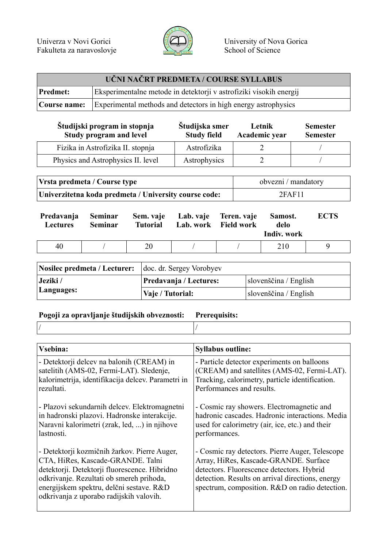

| UČNI NAČRT PREDMETA / COURSE SYLLABUS |                                                                                    |  |
|---------------------------------------|------------------------------------------------------------------------------------|--|
| <b>Predmet:</b>                       | Eksperimentalne metode in detektorji v astrofiziki visokih energij                 |  |
|                                       | <b>Course name:</b> Experimental methods and detectors in high energy astrophysics |  |

| Študijski program in stopnja<br>Study program and level | Študijska smer<br><b>Study field</b> | Letnik<br>Academic year | <b>Semester</b><br><b>Semester</b> |
|---------------------------------------------------------|--------------------------------------|-------------------------|------------------------------------|
| Fizika in Astrofizika II. stopnja                       | Astrofizika                          |                         |                                    |
| Physics and Astrophysics II. level                      | Astrophysics                         |                         |                                    |

| Vrsta predmeta / Course type                          | obvezni / mandatory |  |
|-------------------------------------------------------|---------------------|--|
| Univerzitetna koda predmeta / University course code: | 2FAF11              |  |

| Predavanja<br><b>Lectures</b> | Seminar<br><b>Seminar</b> | <b>Tutorial</b> | Sem. vaje Lab. vaje Teren. vaje | Lab. work Field work | Samost.<br>delo<br>Indiv. work | <b>ECTS</b> |
|-------------------------------|---------------------------|-----------------|---------------------------------|----------------------|--------------------------------|-------------|
| 40                            |                           | 20              |                                 |                      | 210                            |             |

| Nosilec predmeta / Lecturer: doc. dr. Sergey Vorobyev |                        |                       |  |
|-------------------------------------------------------|------------------------|-----------------------|--|
| Jeziki /                                              | Predavanja / Lectures: | slovenščina / English |  |
| Languages:                                            | Vaje / Tutorial:       | slovenščina / English |  |

## **Pogoji za opravljanje študijskih obveznosti: Prerequisits:**

**Vsebina: Syllabus outline:** - Detektorji delcev na balonih (CREAM) in satelitih (AMS-02, Fermi-LAT). Sledenje, kalorimetrija, identifikacija delcev. Parametri in rezultati. - Plazovi sekundarnih delcev. Elektromagnetni in hadronski plazovi. Hadronske interakcije. Naravni kalorimetri (zrak, led, ...) in njihove lastnosti. - Detektorji kozmičnih žarkov. Pierre Auger, CTA, HiRes, Kascade-GRANDE. Talni detektorji. Detektorji fluorescence. Hibridno odkrivanje. Rezultati ob smereh prihoda, energijskem spektru, delčni sestave. R&D odkrivanja z uporabo radijskih valovih. - Particle detector experiments on balloons (CREAM) and satellites (AMS-02, Fermi-LAT). Tracking, calorimetry, particle identification. Performances and results. - Cosmic ray showers. Electromagnetic and hadronic cascades. Hadronic interactions. Media used for calorimetry (air, ice, etc.) and their performances. - Cosmic ray detectors. Pierre Auger, Telescope Array, HiRes, Kascade-GRANDE. Surface detectors. Fluorescence detectors. Hybrid detection. Results on arrival directions, energy spectrum, composition. R&D on radio detection.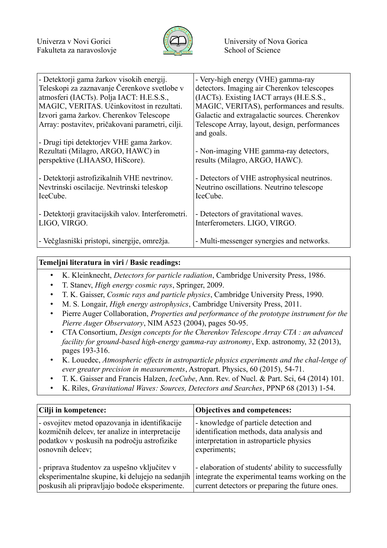

| - Detektorji gama žarkov visokih energij.<br>Teleskopi za zaznavanje Čerenkove svetlobe v             | - Very-high energy (VHE) gamma-ray<br>detectors. Imaging air Cherenkov telescopes                    |
|-------------------------------------------------------------------------------------------------------|------------------------------------------------------------------------------------------------------|
| atmosferi (IACTs). Polja IACT: H.E.S.S.,                                                              | (IACTs). Existing IACT arrays (H.E.S.S.,                                                             |
| MAGIC, VERITAS. Učinkovitost in rezultati.                                                            | MAGIC, VERITAS), performances and results.                                                           |
| Izvori gama žarkov. Cherenkov Telescope                                                               | Galactic and extragalactic sources. Cherenkov                                                        |
| Array: postavitev, pričakovani parametri, cilji.                                                      | Telescope Array, layout, design, performances<br>and goals.                                          |
| - Drugi tipi detektorjev VHE gama žarkov.                                                             |                                                                                                      |
| Rezultati (Milagro, ARGO, HAWC) in                                                                    | - Non-imaging VHE gamma-ray detectors,                                                               |
| perspektive (LHAASO, HiScore).                                                                        | results (Milagro, ARGO, HAWC).                                                                       |
| - Detektorji astrofizikalnih VHE nevtrinov.<br>Nevtrinski oscilacije. Nevtrinski teleskop<br>IceCube. | - Detectors of VHE astrophysical neutrinos.<br>Neutrino oscillations. Neutrino telescope<br>IceCube. |
| - Detektorji gravitacijskih valov. Interferometri.<br>LIGO, VIRGO.                                    | - Detectors of gravitational waves.<br>Interferometers. LIGO, VIRGO.                                 |
| - Večglasniški pristopi, sinergije, omrežja.                                                          | - Multi-messenger synergies and networks.                                                            |

## **Temeljni literatura in viri / Basic readings:**

- K. Kleinknecht, *Detectors for particle radiation*, Cambridge University Press, 1986.
- T. Stanev, *High energy cosmic rays*, Springer, 2009.
- T. K. Gaisser, *Cosmic rays and particle physics*, Cambridge University Press, 1990.
- M. S. Longair, *High energy astrophysics*, Cambridge University Press, 2011.
- Pierre Auger Collaboration, *Properties and performance of the prototype instrument for the Pierre Auger Observatory*, NIM A523 (2004), pages 50-95.
- CTA Consortium, *Design concepts for the Cherenkov Telescope Array CTA : an advanced facility for ground-based high-energy gamma-ray astronomy*, Exp. astronomy, 32 (2013), pages 193-316.
- K. Louedec, *Atmospheric effects in astroparticle physics experiments and the chal-lenge of ever greater precision in measurements*, Astropart. Physics, 60 (2015), 54-71.
- T. K. Gaisser and Francis Halzen, *IceCube*, Ann. Rev. of Nucl. & Part. Sci, 64 (2014) 101.
- K. Riles, *Gravitational Waves: Sources, Detectors and Searches*, PPNP 68 (2013) 1-54.

| Cilji in kompetence:                             | Objectives and competences:                        |
|--------------------------------------------------|----------------------------------------------------|
| - osvojitev metod opazovanja in identifikacije   | - knowledge of particle detection and              |
| kozmičnih delcev, ter analize in interpretacije  | identification methods, data analysis and          |
| podatkov v poskusih na področju astrofizike      | interpretation in astroparticle physics            |
| osnovnih delcev;                                 | experiments;                                       |
| - priprava študentov za uspešno vključitev v     | - elaboration of students' ability to successfully |
| eksperimentalne skupine, ki delujejo na sedanjih | integrate the experimental teams working on the    |
| poskusih ali pripravljajo bodoče eksperimente.   | current detectors or preparing the future ones.    |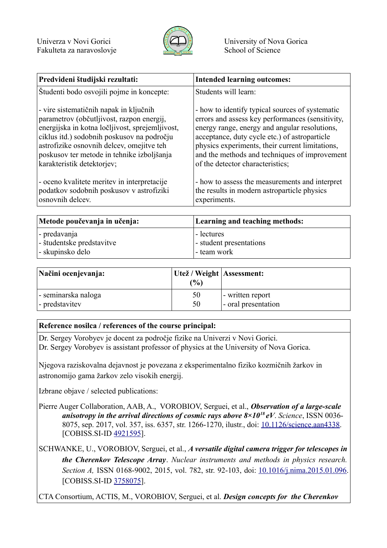

| Predvideni študijski rezultati:                 | <b>Intended learning outcomes:</b>               |
|-------------------------------------------------|--------------------------------------------------|
| Študenti bodo osvojili pojme in koncepte:       | Students will learn:                             |
| - vire sistematičnih napak in ključnih          | - how to identify typical sources of systematic  |
| parametrov (občutljivost, razpon energij,       | errors and assess key performances (sensitivity, |
| energijska in kotna ločljivost, sprejemljivost, | energy range, energy and angular resolutions,    |
| ciklus itd.) sodobnih poskusov na področju      | acceptance, duty cycle etc.) of astroparticle    |
| astrofizike osnovnih delcev, omejitve teh       | physics experiments, their current limitations,  |
| poskusov ter metode in tehnike izboljšanja      | and the methods and techniques of improvement    |
| karakteristik detektorjev;                      | of the detector characteristics;                 |
| - oceno kvalitete meritev in interpretacije     | - how to assess the measurements and interpret   |
| podatkov sodobnih poskusov v astrofiziki        | the results in modern astroparticle physics      |
| osnovnih delcev.                                | experiments.                                     |

| Metode poučevanja in učenja: | Learning and teaching methods: |  |
|------------------------------|--------------------------------|--|
| $\vert$ - predavanja         | - lectures                     |  |
| - študentske predstavitve    | - student presentations        |  |
| - skupinsko delo             | - team work                    |  |

| Načini ocenjevanja: | Utež / Weight   Assessment:<br>$\frac{1}{2}$ |                     |
|---------------------|----------------------------------------------|---------------------|
| - seminarska naloga | 50                                           | - written report    |
| - predstavitev      | 50                                           | - oral presentation |

## **Reference nosilca / references of the course principal:**

Dr. Sergey Vorobyev je docent za področje fizike na Univerzi v Novi Gorici. Dr. Sergey Vorobyev is assistant professor of physics at the University of Nova Gorica.

Njegova raziskovalna dejavnost je povezana z eksperimentalno fiziko kozmičnih žarkov in astronomijo gama žarkov zelo visokih energij.

Izbrane objave / selected publications:

- Pierre Auger Collaboration, AAB, A., VOROBIOV, Serguei, et al., *Observation of a large-scale anisotropy in the arrival directions of cosmic rays above 8×10<sup>18</sup>eV*. *Science*, ISSN 0036- 8075, sep. 2017, vol. 357, iss. 6357, str. 1266-1270, ilustr., doi: [10.1126/science.aan4338.](https://doi.org/10.1126/science.aan4338) [COBISS.SI-ID [4921595\]](https://plus.si.cobiss.net/opac7/bib/4921595?lang=sl).
- SCHWANKE, U., VOROBIOV, Serguei, et al., *A versatile digital camera trigger for telescopes in the Cherenkov Telescope Array*. *Nuclear instruments and methods in physics research. Section A,* ISSN 0168-9002, 2015, vol. 782, str. 92-103, doi: [10.1016/j.nima.2015.01.096.](https://doi.org/10.1016/j.nima.2015.01.096) [COBISS.SI-ID [3758075\]](https://plus.si.cobiss.net/opac7/bib/3758075?lang=sl).

CTA Consortium, ACTIS, M., VOROBIOV, Serguei, et al. *Design concepts for the Cherenkov*